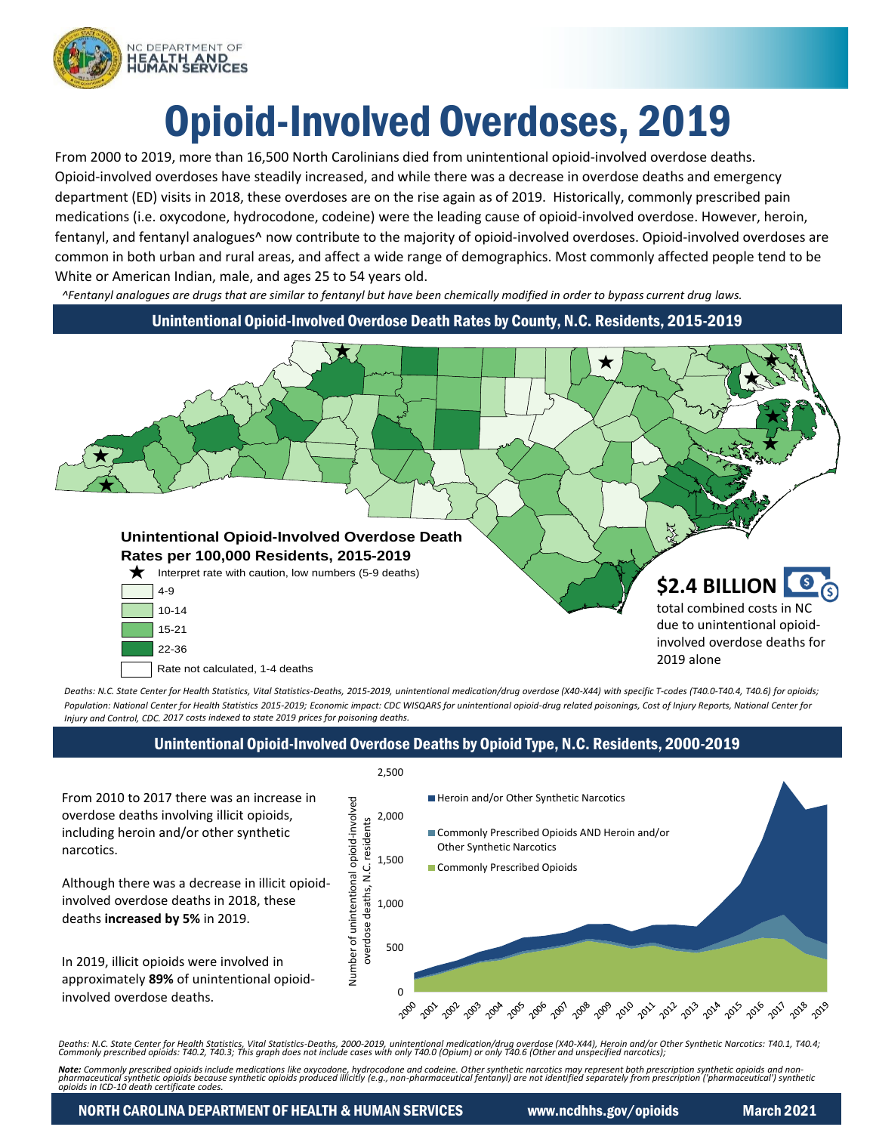

# Opioid-Involved Overdoses, 2019

From 2000 to 2019, more than 16,500 North Carolinians died from unintentional opioid-involved overdose deaths. Opioid-involved overdoses have steadily increased, and while there was a decrease in overdose deaths and emergency department (ED) visits in 2018, these overdoses are on the rise again as of 2019. Historically, commonly prescribed pain medications (i.e. oxycodone, hydrocodone, codeine) were the leading cause of opioid-involved overdose. However, heroin, fentanyl, and fentanyl analogues^ now contribute to the majority of opioid-involved overdoses. Opioid-involved overdoses are common in both urban and rural areas, and affect a wide range of demographics. Most commonly affected people tend to be White or American Indian, male, and ages 25 to 54 years old.

*^Fentanyl analogues are drugs that are similar to fentanyl but have been chemically modified in order to bypass current drug laws.*

Unintentional Opioid-Involved Overdose Death Rates by County, N.C. Residents, 2015-2019



Rate not calculated, 1-4 deaths

deaths **increased by 5%** in 2019.

involved overdose deaths.

narcotics.

*Deaths: N.C. State Center for Health Statistics, Vital Statistics-Deaths, 2015-2019, unintentional medication/drug overdose (X40-X44) with specific T-codes (T40.0-T40.4, T40.6) for opioids;* Population: National Center for Health Statistics 2015-2019; Economic impact: CDC WISQARS for unintentional opioid-drug related poisonings, Cost of Injury Reports, National Center for *Injury and Control, CDC. 2017 costs indexed to state 2019 prices for poisoning deaths.*

# Unintentional Opioid-Involved Overdose Deaths by Opioid Type, N.C. Residents, 2000-2019

2,500 From 2010 to 2017 there was an increase in Heroin and/or Other Synthetic Narcotics Number of unintentional opioid-involved Number of unintentional opioid-involved overdose deaths involving illicit opioids, 2,000 overdose deaths, N.C. residents overdose deaths, N.C. residents including heroin and/or other synthetic Commonly Prescribed Opioids AND Heroin and/or Other Synthetic Narcotics 1,500 **Commonly Prescribed Opioids** Although there was a decrease in illicit opioidinvolved overdose deaths in 2018, these 1,000 500 In 2019, illicit opioids were involved in approximately **89%** of unintentional opioid- $\Omega$ 2000 ిత్తు ''త్మి ''త్మి ''త్మి ''త్మి ''త్మి ''త్మి' ''త్మి' ''త్మి' ''త్మి' ''త్మి' ''త్ము' 2018 2019

Deaths: N.C. State Center for Health Statistics, Vital Statistics-Deaths, 2000-2019, unintentional medication/drug overdose (X40-X44), Heroin and/or Other Synthetic Narcotics: T40.1, T40.4;<br>Commonly prescribed opioids: T40

**Note**: Commonly prescribed opioids include medications like oxycodone, hydrocodone and codeine. Other synthetic narcotics may represent both prescription synthetic opioids and non-<br>pharmaceutical synthetic opioids because

NORTH CAROLINA DEPARTMENT OF HEALTH & HUMAN SERVICES www.ncdhhs.gov/opioids March 2021